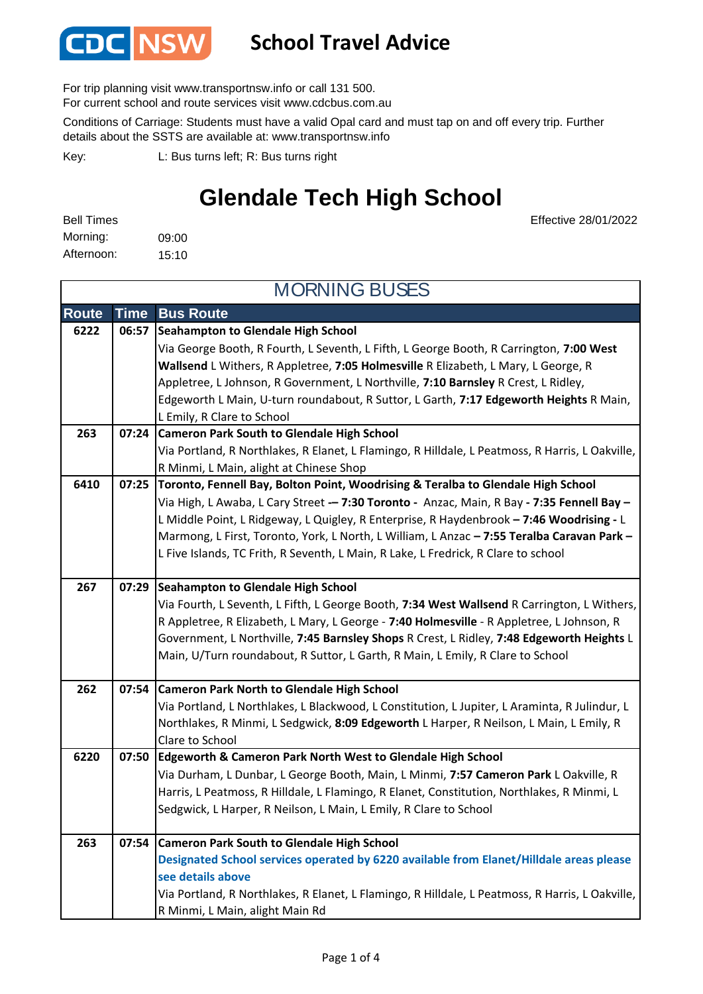

#### **School Travel Advice**

For trip planning visit www.transportnsw.info or call 131 500.

For current school and route services visit www.cdcbus.com.au

Conditions of Carriage: Students must have a valid Opal card and must tap on and off every trip. Further details about the SSTS are available at: www.transportnsw.info

L: Bus turns left; R: Bus turns right Key:

### **Glendale Tech High School**

Effective 28/01/2022

| <b>Bell Times</b> |       |
|-------------------|-------|
| Morning:          | 09:00 |
| Afternoon:        | 15:10 |

**Route Time Bus Route Seahampton to Glendale High School**  Via George Booth, R Fourth, L Seventh, L Fifth, L George Booth, R Carrington, **7:00 West Wallsend** L Withers, R Appletree, **7:05 Holmesville** R Elizabeth, L Mary, L George, R Appletree, L Johnson, R Government, L Northville, **7:10 Barnsley** R Crest, L Ridley, Edgeworth L Main, U-turn roundabout, R Suttor, L Garth, **7:17 Edgeworth Heights** R Main, L Emily, R Clare to School **Cameron Park South to Glendale High School**  Via Portland, R Northlakes, R Elanet, L Flamingo, R Hilldale, L Peatmoss, R Harris, L Oakville, R Minmi, L Main, alight at Chinese Shop **Toronto, Fennell Bay, Bolton Point, Woodrising & Teralba to Glendale High School** Via High, L Awaba, L Cary Street **– 7:30 Toronto** Anzac, Main, R Bay **7:35 Fennell Bay –**  L Middle Point, L Ridgeway, L Quigley, R Enterprise, R Haydenbrook **– 7:46 Woodrising** L Marmong, L First, Toronto, York, L North, L William, L Anzac **– 7:55 Teralba Caravan Park –**  L Five Islands, TC Frith, R Seventh, L Main, R Lake, L Fredrick, R Clare to school **Seahampton to Glendale High School 267 07:29** Via Fourth, L Seventh, L Fifth, L George Booth, **7:34 West Wallsend** R Carrington, L Withers, R Appletree, R Elizabeth, L Mary, L George - **7:40 Holmesville** - R Appletree, L Johnson, R Government, L Northville, **7:45 Barnsley Shops** R Crest, L Ridley, **7:48 Edgeworth Heights** L Main, U/Turn roundabout, R Suttor, L Garth, R Main, L Emily, R Clare to School **Cameron Park North to Glendale High School**  Via Portland, L Northlakes, L Blackwood, L Constitution, L Jupiter, L Araminta, R Julindur, L Northlakes, R Minmi, L Sedgwick, **8:09 Edgeworth** L Harper, R Neilson, L Main, L Emily, R Clare to School **Edgeworth & Cameron Park North West to Glendale High School 6220 07:50** Via Durham, L Dunbar, L George Booth, Main, L Minmi, **7:57 Cameron Park** L Oakville, R Harris, L Peatmoss, R Hilldale, L Flamingo, R Elanet, Constitution, Northlakes, R Minmi, L Sedgwick, L Harper, R Neilson, L Main, L Emily, R Clare to School **Cameron Park South to Glendale High School Designated School services operated by 6220 available from Elanet/Hilldale areas please see details above** Via Portland, R Northlakes, R Elanet, L Flamingo, R Hilldale, L Peatmoss, R Harris, L Oakville, R Minmi, L Main, alight Main Rd MORNING BUSES **6222 06:57 263 07:54 262 07:54 263 07:24 6410 07:25**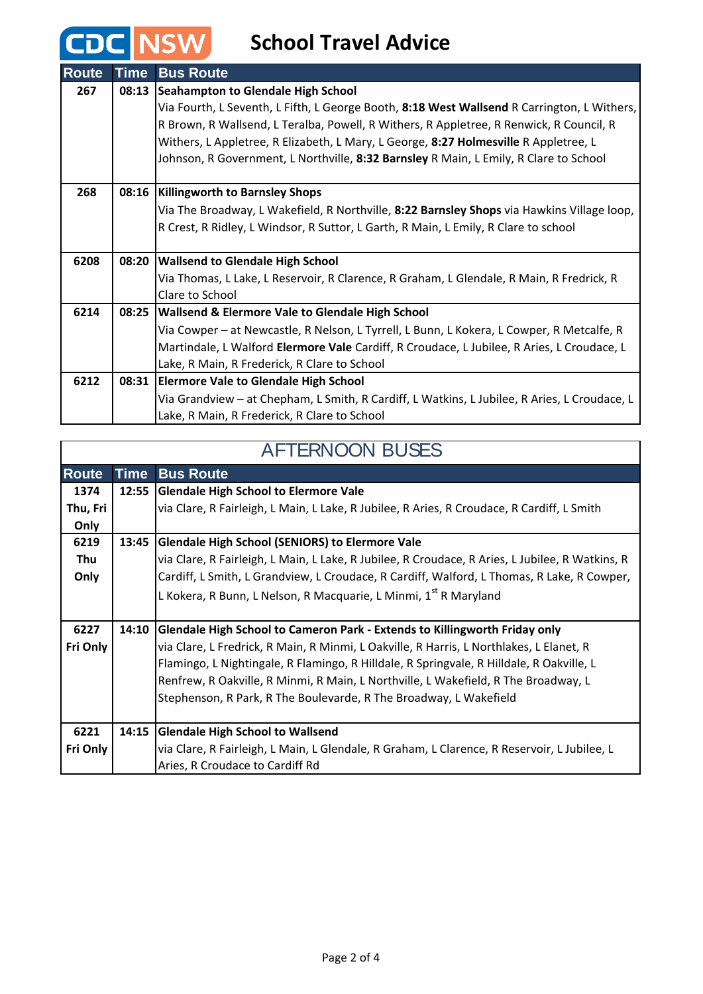### **CDC NSW** School Travel Advice

| <b>Route</b> | <b>Time</b> | <b>Bus Route</b>                                                                             |  |
|--------------|-------------|----------------------------------------------------------------------------------------------|--|
| 267          | 08:13       | Seahampton to Glendale High School                                                           |  |
|              |             | Via Fourth, L Seventh, L Fifth, L George Booth, 8:18 West Wallsend R Carrington, L Withers,  |  |
|              |             | R Brown, R Wallsend, L Teralba, Powell, R Withers, R Appletree, R Renwick, R Council, R      |  |
|              |             | Withers, L Appletree, R Elizabeth, L Mary, L George, 8:27 Holmesville R Appletree, L         |  |
|              |             | Johnson, R Government, L Northville, 8:32 Barnsley R Main, L Emily, R Clare to School        |  |
|              |             |                                                                                              |  |
| 268          |             | 08:16   Killingworth to Barnsley Shops                                                       |  |
|              |             | Via The Broadway, L Wakefield, R Northville, 8:22 Barnsley Shops via Hawkins Village loop,   |  |
|              |             | R Crest, R Ridley, L Windsor, R Suttor, L Garth, R Main, L Emily, R Clare to school          |  |
|              |             |                                                                                              |  |
| 6208         |             | 08:20 Wallsend to Glendale High School                                                       |  |
|              |             | Via Thomas, L Lake, L Reservoir, R Clarence, R Graham, L Glendale, R Main, R Fredrick, R     |  |
|              |             | Clare to School                                                                              |  |
| 6214         |             | 08:25   Wallsend & Elermore Vale to Glendale High School                                     |  |
|              |             | Via Cowper - at Newcastle, R Nelson, L Tyrrell, L Bunn, L Kokera, L Cowper, R Metcalfe, R    |  |
|              |             | Martindale, L Walford Elermore Vale Cardiff, R Croudace, L Jubilee, R Aries, L Croudace, L   |  |
|              |             | Lake, R Main, R Frederick, R Clare to School                                                 |  |
| 6212         |             | 08:31 Elermore Vale to Glendale High School                                                  |  |
|              |             | Via Grandview - at Chepham, L Smith, R Cardiff, L Watkins, L Jubilee, R Aries, L Croudace, L |  |
|              |             | Lake, R Main, R Frederick, R Clare to School                                                 |  |

#### AFTERNOON BUSES

1

 $\sqrt{ }$ 

| <b>Route</b> | <b>Time</b> | <b>Bus Route</b>                                                                                |
|--------------|-------------|-------------------------------------------------------------------------------------------------|
| 1374         | 12:55       | <b>Glendale High School to Elermore Vale</b>                                                    |
| Thu, Fri     |             | via Clare, R Fairleigh, L Main, L Lake, R Jubilee, R Aries, R Croudace, R Cardiff, L Smith      |
| Only         |             |                                                                                                 |
| 6219         | 13:45       | <b>Glendale High School (SENIORS) to Elermore Vale</b>                                          |
| Thu          |             | via Clare, R Fairleigh, L Main, L Lake, R Jubilee, R Croudace, R Aries, L Jubilee, R Watkins, R |
| Only         |             | Cardiff, L Smith, L Grandview, L Croudace, R Cardiff, Walford, L Thomas, R Lake, R Cowper,      |
|              |             | L Kokera, R Bunn, L Nelson, R Macquarie, L Minmi, 1 <sup>st</sup> R Maryland                    |
|              |             |                                                                                                 |
| 6227         | 14:10       | Glendale High School to Cameron Park - Extends to Killingworth Friday only                      |
| Fri Only     |             | via Clare, L Fredrick, R Main, R Minmi, L Oakville, R Harris, L Northlakes, L Elanet, R         |
|              |             | Flamingo, L Nightingale, R Flamingo, R Hilldale, R Springvale, R Hilldale, R Oakville, L        |
|              |             | Renfrew, R Oakville, R Minmi, R Main, L Northville, L Wakefield, R The Broadway, L              |
|              |             | Stephenson, R Park, R The Boulevarde, R The Broadway, L Wakefield                               |
|              |             |                                                                                                 |
| 6221         | 14:15       | <b>Glendale High School to Wallsend</b>                                                         |
| Fri Only     |             | via Clare, R Fairleigh, L Main, L Glendale, R Graham, L Clarence, R Reservoir, L Jubilee, L     |
|              |             | Aries, R Croudace to Cardiff Rd                                                                 |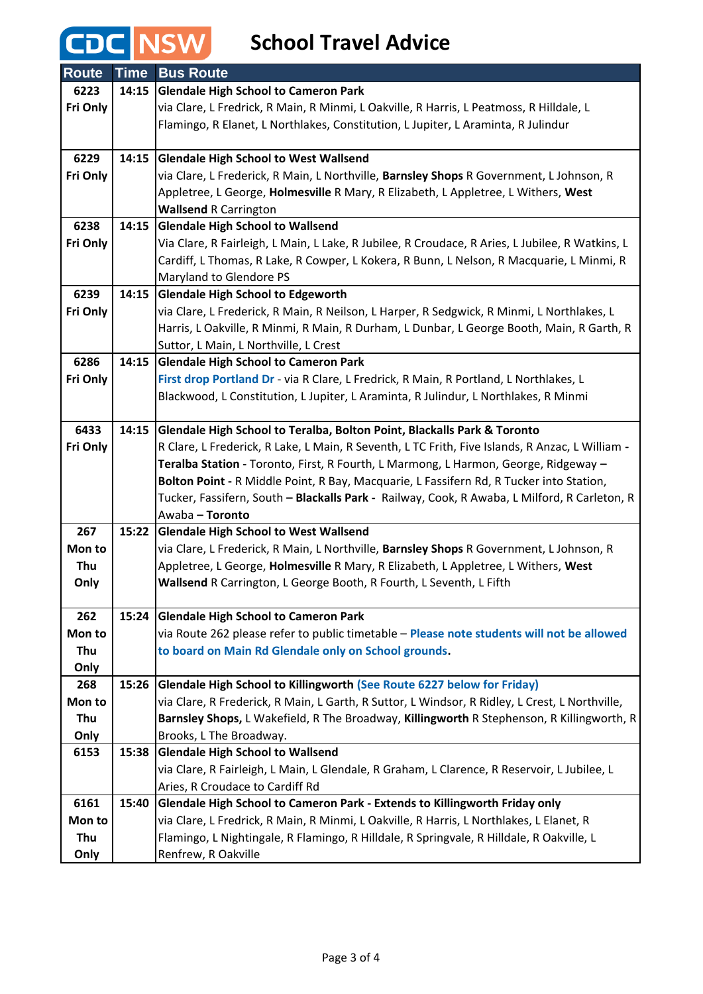## **CDC NSW** School Travel Advice

| <b>Route</b> | <b>Time</b> | <b>Bus Route</b>                                                                                |
|--------------|-------------|-------------------------------------------------------------------------------------------------|
| 6223         | 14:15       | <b>Glendale High School to Cameron Park</b>                                                     |
| Fri Only     |             | via Clare, L Fredrick, R Main, R Minmi, L Oakville, R Harris, L Peatmoss, R Hilldale, L         |
|              |             | Flamingo, R Elanet, L Northlakes, Constitution, L Jupiter, L Araminta, R Julindur               |
|              |             |                                                                                                 |
| 6229         | 14:15       | <b>Glendale High School to West Wallsend</b>                                                    |
| Fri Only     |             | via Clare, L Frederick, R Main, L Northville, Barnsley Shops R Government, L Johnson, R         |
|              |             | Appletree, L George, Holmesville R Mary, R Elizabeth, L Appletree, L Withers, West              |
|              |             | <b>Wallsend R Carrington</b>                                                                    |
| 6238         | 14:15       | <b>Glendale High School to Wallsend</b>                                                         |
| Fri Only     |             | Via Clare, R Fairleigh, L Main, L Lake, R Jubilee, R Croudace, R Aries, L Jubilee, R Watkins, L |
|              |             | Cardiff, L Thomas, R Lake, R Cowper, L Kokera, R Bunn, L Nelson, R Macquarie, L Minmi, R        |
|              |             | Maryland to Glendore PS                                                                         |
| 6239         | 14:15       | <b>Glendale High School to Edgeworth</b>                                                        |
| Fri Only     |             | via Clare, L Frederick, R Main, R Neilson, L Harper, R Sedgwick, R Minmi, L Northlakes, L       |
|              |             | Harris, L Oakville, R Minmi, R Main, R Durham, L Dunbar, L George Booth, Main, R Garth, R       |
|              |             | Suttor, L Main, L Northville, L Crest                                                           |
| 6286         | 14:15       | <b>Glendale High School to Cameron Park</b>                                                     |
| Fri Only     |             | First drop Portland Dr - via R Clare, L Fredrick, R Main, R Portland, L Northlakes, L           |
|              |             | Blackwood, L Constitution, L Jupiter, L Araminta, R Julindur, L Northlakes, R Minmi             |
|              |             |                                                                                                 |
| 6433         | 14:15       | Glendale High School to Teralba, Bolton Point, Blackalls Park & Toronto                         |
| Fri Only     |             | R Clare, L Frederick, R Lake, L Main, R Seventh, L TC Frith, Five Islands, R Anzac, L William - |
|              |             | Teralba Station - Toronto, First, R Fourth, L Marmong, L Harmon, George, Ridgeway -             |
|              |             | Bolton Point - R Middle Point, R Bay, Macquarie, L Fassifern Rd, R Tucker into Station,         |
|              |             | Tucker, Fassifern, South - Blackalls Park - Railway, Cook, R Awaba, L Milford, R Carleton, R    |
|              |             | Awaba - Toronto                                                                                 |
| 267          | 15:22       | <b>Glendale High School to West Wallsend</b>                                                    |
| Mon to       |             | via Clare, L Frederick, R Main, L Northville, Barnsley Shops R Government, L Johnson, R         |
| Thu          |             | Appletree, L George, Holmesville R Mary, R Elizabeth, L Appletree, L Withers, West              |
| Only         |             | Wallsend R Carrington, L George Booth, R Fourth, L Seventh, L Fifth                             |
|              |             |                                                                                                 |
| 262          | 15:24       | <b>Glendale High School to Cameron Park</b>                                                     |
| Mon to       |             | via Route 262 please refer to public timetable - Please note students will not be allowed       |
| Thu          |             | to board on Main Rd Glendale only on School grounds.                                            |
| Only         |             |                                                                                                 |
| 268          | 15:26       | Glendale High School to Killingworth (See Route 6227 below for Friday)                          |
| Mon to       |             | via Clare, R Frederick, R Main, L Garth, R Suttor, L Windsor, R Ridley, L Crest, L Northville,  |
| Thu          |             | Barnsley Shops, L Wakefield, R The Broadway, Killingworth R Stephenson, R Killingworth, R       |
| Only         |             | Brooks, L The Broadway.                                                                         |
| 6153         | 15:38       | <b>Glendale High School to Wallsend</b>                                                         |
|              |             | via Clare, R Fairleigh, L Main, L Glendale, R Graham, L Clarence, R Reservoir, L Jubilee, L     |
|              |             | Aries, R Croudace to Cardiff Rd                                                                 |
| 6161         | 15:40       | Glendale High School to Cameron Park - Extends to Killingworth Friday only                      |
| Mon to       |             | via Clare, L Fredrick, R Main, R Minmi, L Oakville, R Harris, L Northlakes, L Elanet, R         |
| Thu          |             | Flamingo, L Nightingale, R Flamingo, R Hilldale, R Springvale, R Hilldale, R Oakville, L        |
| Only         |             | Renfrew, R Oakville                                                                             |